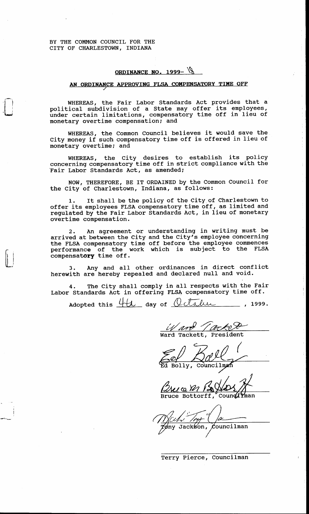BY THE COMMON COUNCIL FOR THE CITY OF CHARLESTOWN, INDIANA

I

I

## **ORDINANCE NO. 1999-** 18

## **AN ORDINANCE APPROVING FLSA COMPENSATORY TIME OFF**

WHEREAS, the Fair Labor Standards Act provides that a political subdivision of a State may offer its employees, under certain limitations, compensatory time off in lieu of monetary overtime compensation; and

WHEREAS, the Common Council believes it would save the City money if such compensatory time off is offered in lieu of monetary overtime; and

WHEREAS, the City desires to establish its policy concerning compensatory time off in strict compliance with the 'Fair Labor Standards Act, as amended;

NOW, THEREFORE, BE IT ORDAINED by the Common Council for the City of Charlestown, Indiana, as follows:

It shall be the policy of the City of Charlestown to offer its employees FLSA compensatory time off, as limited and regulated by the Fair Labor Standards Act, in lieu of monetary overtime compensation. **1.** 

An agreement or understanding in writing must be arrived at between the City and the City's employee concerning the FLSA compensatory time off before the employee commences performance of the work which is subject to the FLSA compensatory time off.

**3.** Any and all other ordinances in direct conflict herewith are hereby repealed and declared null and void.

Labor Standards Act in offering FLSA compensatory time off. **4.** The City shall comply in all respects with the Fair

Adopted this 4th day of Octahie , 1999.

Ward Tacket

I

Ward Tackett, President

Cound  $\mathcal{U}$ Bruce Bottorff,

Jackson, Councilman

Terry Pierce, Councilman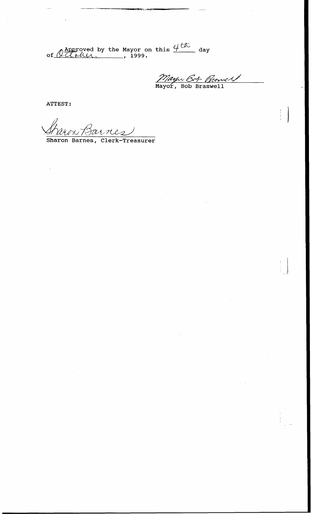[of](#page-2-0)  $\overbrace{Q \text{}(ul)}^{\text{Approved}}$  by the Mayor on this  $\overbrace{q \text{}(ul)}^{\text{th}}$  day

Mayov Bob Branney

**ATTEST** :

**Sharon Barnes, Clerk-Treasurer**